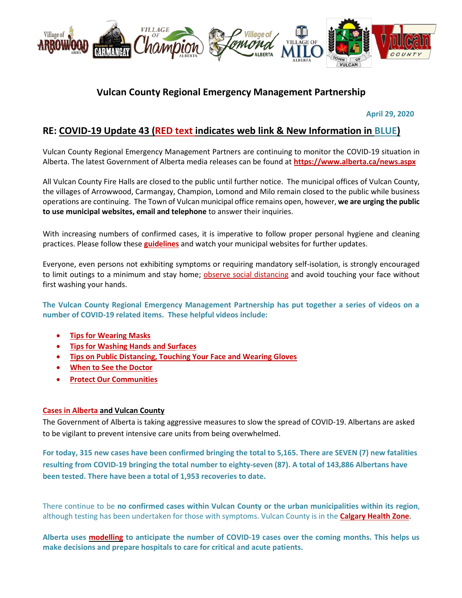

# **Vulcan County Regional Emergency Management Partnership**

 **April 29, 2020**

## **RE: COVID-19 Update 43 (RED text indicates web link & New Information in BLUE)**

Vulcan County Regional Emergency Management Partners are continuing to monitor the COVID-19 situation in Alberta. The latest Government of Alberta media releases can be found at **<https://www.alberta.ca/news.aspx>**

All Vulcan County Fire Halls are closed to the public until further notice. The municipal offices of Vulcan County, the villages of Arrowwood, Carmangay, Champion, Lomond and Milo remain closed to the public while business operations are continuing. The Town of Vulcan municipal office remains open, however, **we are urging the public to use municipal websites, email and telephone** to answer their inquiries.

With increasing numbers of confirmed cases, it is imperative to follow proper personal hygiene and cleaning practices. Please follow these **[guidelines](https://www.albertahealthservices.ca/topics/Page16997.aspx#sign)** and watch your municipal websites for further updates.

Everyone, even persons not exhibiting symptoms or requiring mandatory self-isolation, is strongly encouraged to limit outings to a minimum and stay home; [observe social distancing](https://www.albertahealthservices.ca/topics/Page17008.aspx) and avoid touching your face without first washing your hands.

**The Vulcan County Regional Emergency Management Partnership has put together a series of videos on a number of COVID-19 related items. These helpful videos include:**

- **[Tips for Wearing Masks](https://youtu.be/mS2rSlOT2n0)**
- **[Tips for Washing Hands and Surfaces](https://youtu.be/pWpGo3uQe-4)**
- **[Tips on Public Distancing, Touching Your Face and Wearing Gloves](https://youtu.be/84qhhl06TII)**
- **[When to See the Doctor](https://youtu.be/raDnetqvEXk)**
- **[Protect Our Communities](https://www.youtube.com/watch?v=swS6GGn_iYg&feature=youtu.be)**

#### **[Cases in Alberta](https://covid19stats.alberta.ca/) and Vulcan County**

The Government of Alberta is taking aggressive measures to slow the spread of COVID-19. Albertans are asked to be vigilant to prevent intensive care units from being overwhelmed.

**For today, 315 new cases have been confirmed bringing the total to 5,165. There are SEVEN (7) new fatalities resulting from COVID-19 bringing the total number to eighty-seven (87). A total of 143,886 Albertans have been tested. There have been a total of 1,953 recoveries to date.**

There continue to be **no confirmed cases within Vulcan County or the urban municipalities within its region**, although testing has been undertaken for those with symptoms. Vulcan County is in the **[Calgary Health Zone](https://www.albertahealthservices.ca/ahs-map-ahs-zones.pdf)**.

**Alberta uses [modelling](https://www.alberta.ca/assets/documents/covid-19-case-modelling-projection.pdf) to anticipate the number of COVID-19 cases over the coming months. This helps us make decisions and prepare hospitals to care for critical and acute patients.**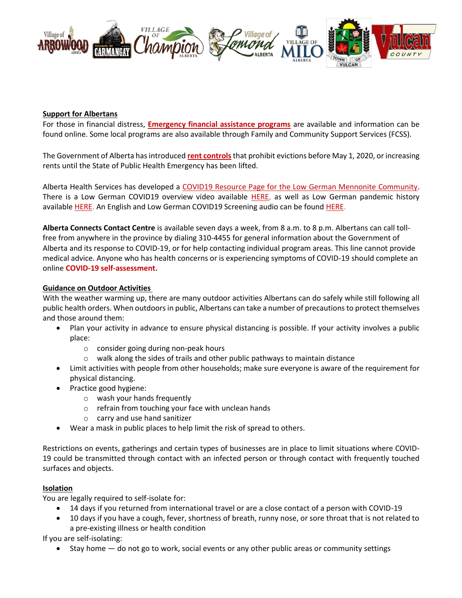

#### **Support for Albertans**

For those in financial distress, **[Emergency financial assistance programs](https://www.alberta.ca/emergency-financial-assistance.aspx)** are available and information can be found online. Some local programs are also available through Family and Community Support Services (FCSS).

The Government of Alberta has introduced **[rent controls](https://www.alberta.ca/information-tenants-landlords.aspx)**that prohibit evictions before May 1, 2020, or increasing rents until the State of Public Health Emergency has been lifted.

Alberta Health Services has developed a [COVID19 Resource Page for the Low German Mennonite Community.](https://sites.google.com/view/lgmcovidresources/home) There is a Low German COVID19 overview video available [HERE,](https://www.youtube.com/watch?v=gChNtbeUeIQ&feature=youtu.be) as well as Low German pandemic history available [HERE.](https://www.youtube.com/watch?v=g-qqk_J6c5Q) An English and Low German COVID19 Screening audio can be found [HERE.](https://villageofarrowwood.ca/covid19-screening-in-english-and-low-german/)

**Alberta Connects Contact Centre** is available seven days a week, from 8 a.m. to 8 p.m. Albertans can call tollfree from anywhere in the province by dialing 310-4455 for general information about the Government of Alberta and its response to COVID-19, or for help contacting individual program areas. This line cannot provide medical advice. Anyone who has health concerns or is experiencing symptoms of COVID-19 should complete an online **[COVID-19 self-assessment.](https://myhealth.alberta.ca/Journey/COVID-19/Pages/COVID-Self-Assessment.aspx)**

#### **Guidance on Outdoor Activities**

With the weather warming up, there are many outdoor activities Albertans can do safely while still following all public health orders. When outdoors in public, Albertans can take a number of precautions to protect themselves and those around them:

- Plan your activity in advance to ensure physical distancing is possible. If your activity involves a public place:
	- o consider going during non-peak hours
	- $\circ$  walk along the sides of trails and other public pathways to maintain distance
- Limit activities with people from other households; make sure everyone is aware of the requirement for physical distancing.
- Practice good hygiene:
	- o wash your hands frequently
	- o refrain from touching your face with unclean hands
	- o carry and use hand sanitizer
- Wear a mask in public places to help limit the risk of spread to others.

Restrictions on events, gatherings and certain types of businesses are in place to limit situations where COVID-19 could be transmitted through contact with an infected person or through contact with frequently touched surfaces and objects.

#### **Isolation**

You are legally required to self-isolate for:

- 14 days if you returned from international travel or are a close contact of a person with COVID-19
- 10 days if you have a cough, fever, shortness of breath, runny nose, or sore throat that is not related to a pre-existing illness or health condition

If you are self-isolating:

Stay home — do not go to work, social events or any other public areas or community settings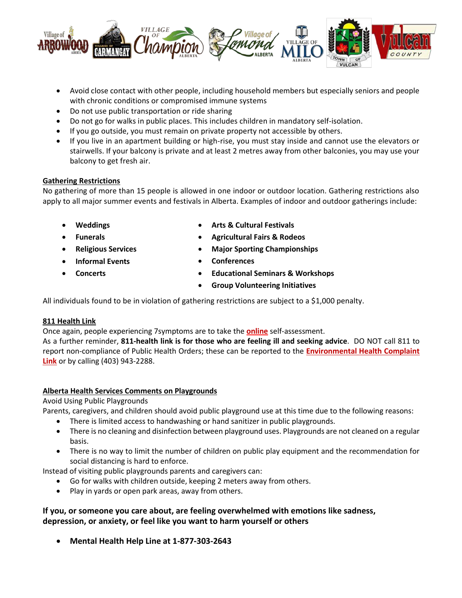

- Avoid close contact with other people, including household members but especially seniors and people with chronic conditions or compromised immune systems
- Do not use public transportation or ride sharing
- Do not go for walks in public places. This includes children in mandatory self-isolation.
- If you go outside, you must remain on private property not accessible by others.
- If you live in an apartment building or high-rise, you must stay inside and cannot use the elevators or stairwells. If your balcony is private and at least 2 metres away from other balconies, you may use your balcony to get fresh air.

## **Gathering Restrictions**

No gathering of more than 15 people is allowed in one indoor or outdoor location. Gathering restrictions also apply to all major summer events and festivals in Alberta. Examples of indoor and outdoor gatherings include:

- **Weddings**
- **Funerals**
- **Religious Services**
- **Informal Events**
- **Concerts**
- **Arts & Cultural Festivals**
- **Agricultural Fairs & Rodeos**
- **Major Sporting Championships**
- **Conferences**
- **Educational Seminars & Workshops**
- **Group Volunteering Initiatives**

All individuals found to be in violation of gathering restrictions are subject to a \$1,000 penalty.

## **811 Health Link**

Once again, people experiencing 7symptoms are to take the **[online](https://myhealth.alberta.ca/Journey/COVID-19/Pages/COVID-Self-Assessment.aspx)** self-assessment.

As a further reminder, **811-health link is for those who are feeling ill and seeking advice**. DO NOT call 811 to report non-compliance of Public Health Orders; these can be reported to the **[Environmental Health Complaint](https://ephisahs.microsoftcrmportals.com/create-case/)  [Link](https://ephisahs.microsoftcrmportals.com/create-case/)** or by calling (403) 943-2288.

## **Alberta Health Services Comments on Playgrounds**

Avoid Using Public Playgrounds

Parents, caregivers, and children should avoid public playground use at this time due to the following reasons:

- There is limited access to handwashing or hand sanitizer in public playgrounds.
- There is no cleaning and disinfection between playground uses. Playgrounds are not cleaned on a regular basis.
- There is no way to limit the number of children on public play equipment and the recommendation for social distancing is hard to enforce.

Instead of visiting public playgrounds parents and caregivers can:

- Go for walks with children outside, keeping 2 meters away from others.
- Play in yards or open park areas, away from others.

## **If you, or someone you care about, are feeling overwhelmed with emotions like sadness, depression, or anxiety, or feel like you want to harm yourself or others**

**Mental Health Help Line at 1-877-303-2643**